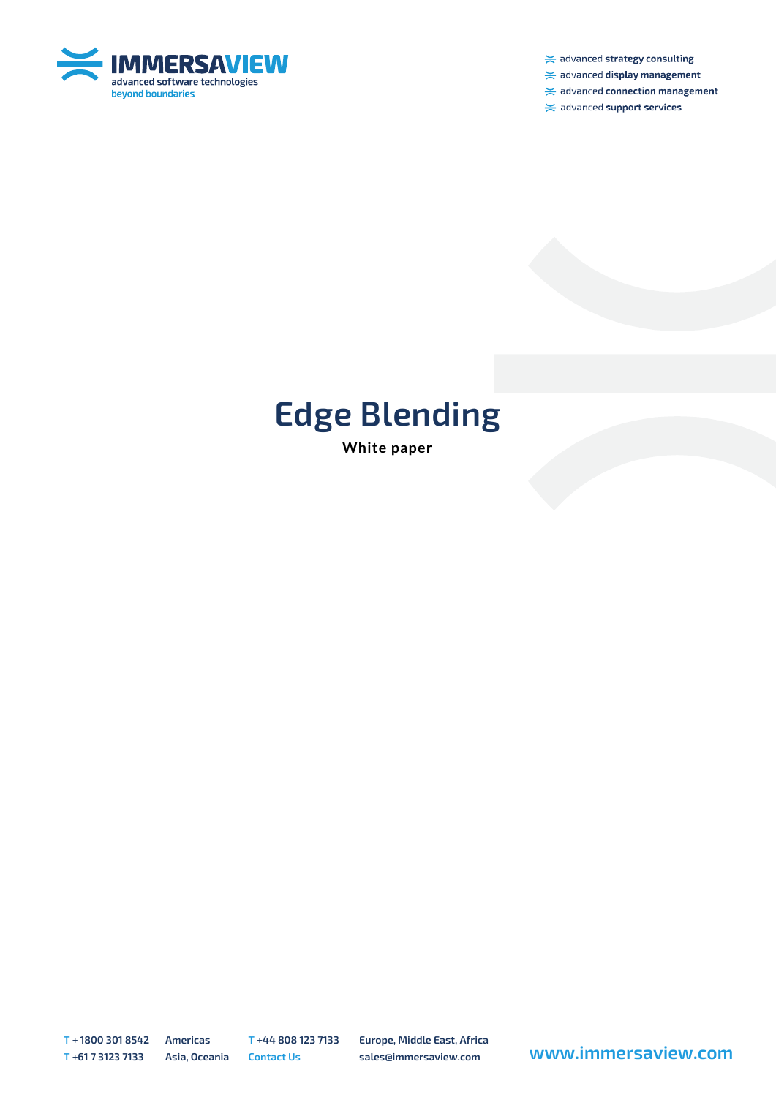

 $\ge$  advanced strategy consulting

 $\ge$  advanced display management

 $\ge$  advanced connection management

 $\ge$  advanced support services

## **Edge Blending**

**White paper**

**T + 1800 301 8542 Americas T +44 808 123 7133 Europe, Middle East, Africa**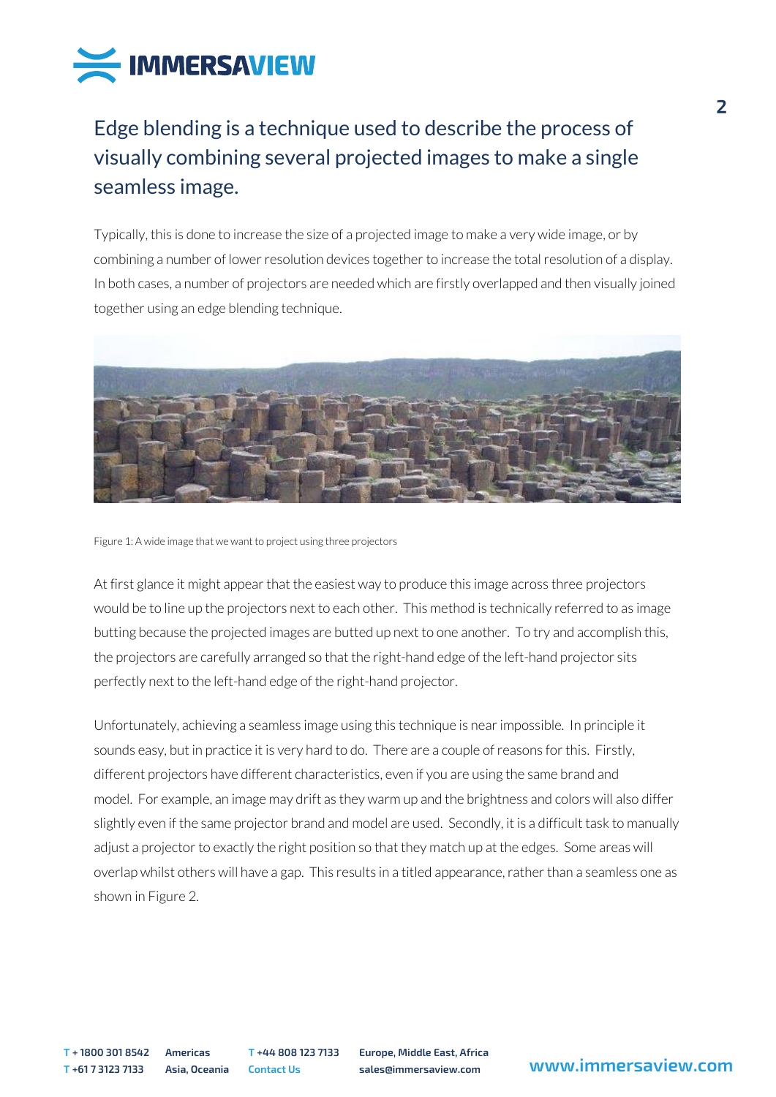

## Edge blending is a technique used to describe the process of visually combining several projected images to make a single seamless image.

Typically, this is done to increase the size of a projected image to make a very wide image, or by combining a number of lower resolution devices together to increase the total resolution of a display. In both cases, a number of projectors are needed which are firstly overlapped and then visually joined together using an edge blending technique.



Figure 1: A wide image that we want to project using three projectors

At first glance it might appear that the easiest way to produce this image across three projectors would be to line up the projectors next to each other. This method is technically referred to as image butting because the projected images are butted up next to one another. To try and accomplish this, the projectors are carefully arranged so that the right-hand edge of the left-hand projector sits perfectly next to the left-hand edge of the right-hand projector.

Unfortunately, achieving a seamless image using this technique is near impossible. In principle it sounds easy, but in practice it is very hard to do. There are a couple of reasons for this. Firstly, different projectors have different characteristics, even if you are using the same brand and model. For example, an image may drift as they warm up and the brightness and colors will also differ slightly even if the same projector brand and model are used. Secondly, it is a difficult task to manually adjust a projector to exactly the right position so that they match up at the edges. Some areas will overlap whilst others will have a gap. This results in a titled appearance, rather than a seamless one as shown in Figure 2.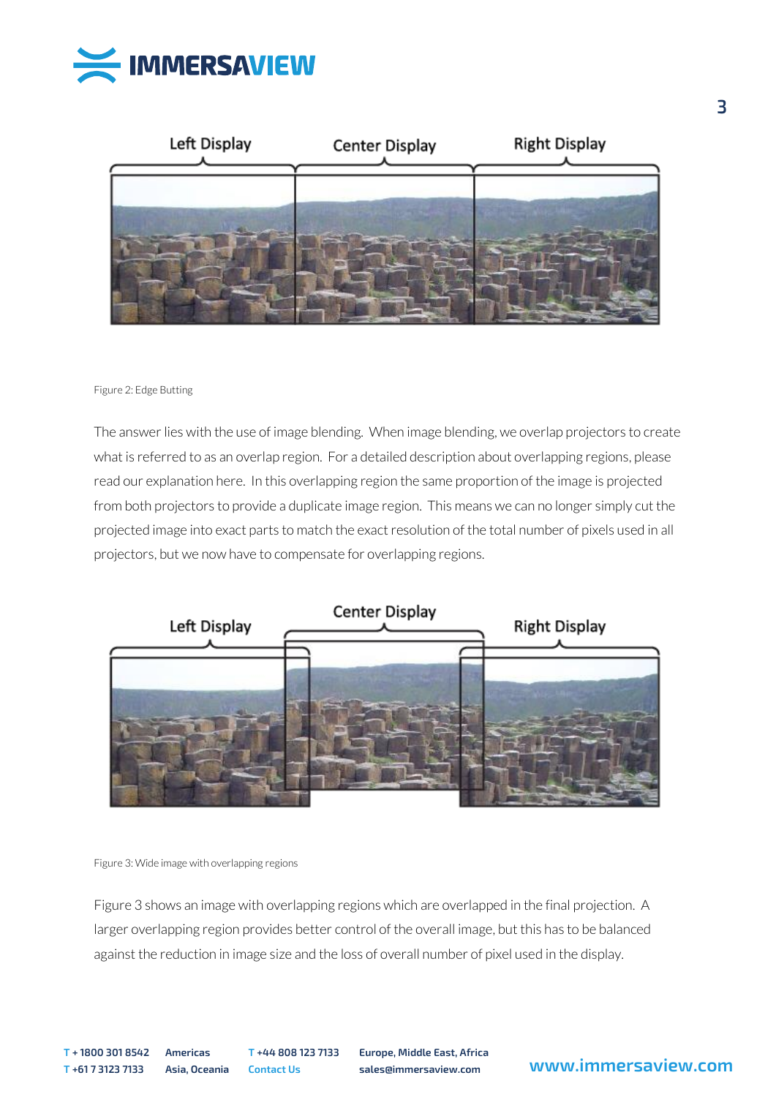



## Figure 2: Edge Butting

The answer lies with the use of image blending. When image blending, we overlap projectors to create what is referred to as an overlap region. For a detailed description about overlapping regions, please read our explanation here. In this overlapping region the same proportion of the image is projected from both projectors to provide a duplicate image region. This means we can no longer simply cut the projected image into exact parts to match the exact resolution of the total number of pixels used in all projectors, but we now have to compensate for overlapping regions.





Figure 3 shows an image with overlapping regions which are overlapped in the final projection. A larger overlapping region provides better control of the overall image, but this has to be balanced against the reduction in image size and the loss of overall number of pixel used in the display.

**T + 1800 301 8542 Americas T +44 808 123 7133 Europe, Middle East, Africa**

## **<sup>T</sup> +61 7 3123 7133 Asia, Oceania Contact Us sales@immersaview.com www.immersaview.com**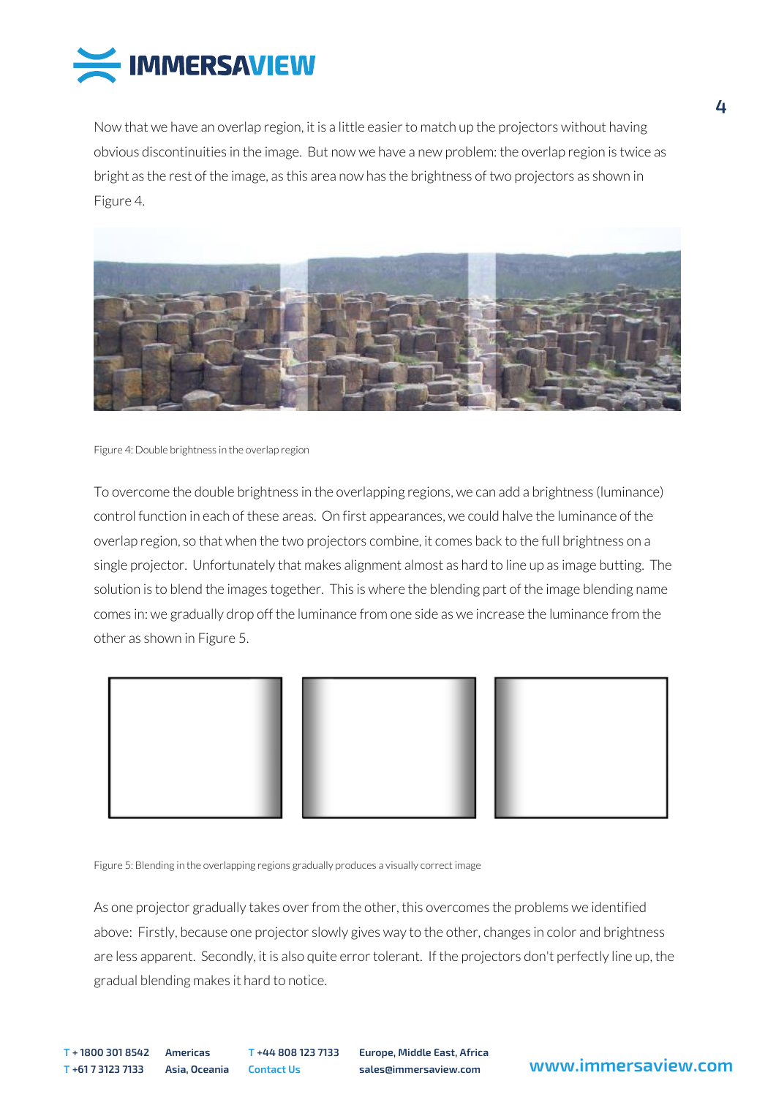

Now that we have an overlap region, it is a little easier to match up the projectors without having obvious discontinuities in the image. But now we have a new problem: the overlap region is twice as bright as the rest of the image, as this area now has the brightness of two projectors as shown in Figure 4.



Figure 4: Double brightness in the overlap region

To overcome the double brightness in the overlapping regions, we can add a brightness (luminance) control function in each of these areas. On first appearances, we could halve the luminance of the overlap region, so that when the two projectors combine, it comes back to the full brightness on a single projector. Unfortunately that makes alignment almost as hard to line up as image butting. The solution is to blend the images together. This is where the blending part of the image blending name comes in: we gradually drop off the luminance from one side as we increase the luminance from the other as shown in Figure 5.



Figure 5: Blending in the overlapping regions gradually produces a visually correct image

As one projector gradually takes over from the other, this overcomes the problems we identified above: Firstly, because one projector slowly gives way to the other, changes in color and brightness are less apparent. Secondly, it is also quite error tolerant. If the projectors don't perfectly line up, the gradual blending makes it hard to notice.

**T + 1800 301 8542 Americas T +44 808 123 7133 Europe, Middle East, Africa**

**<sup>T</sup> +61 7 3123 7133 Asia, Oceania Contact Us sales@immersaview.com www.immersaview.com**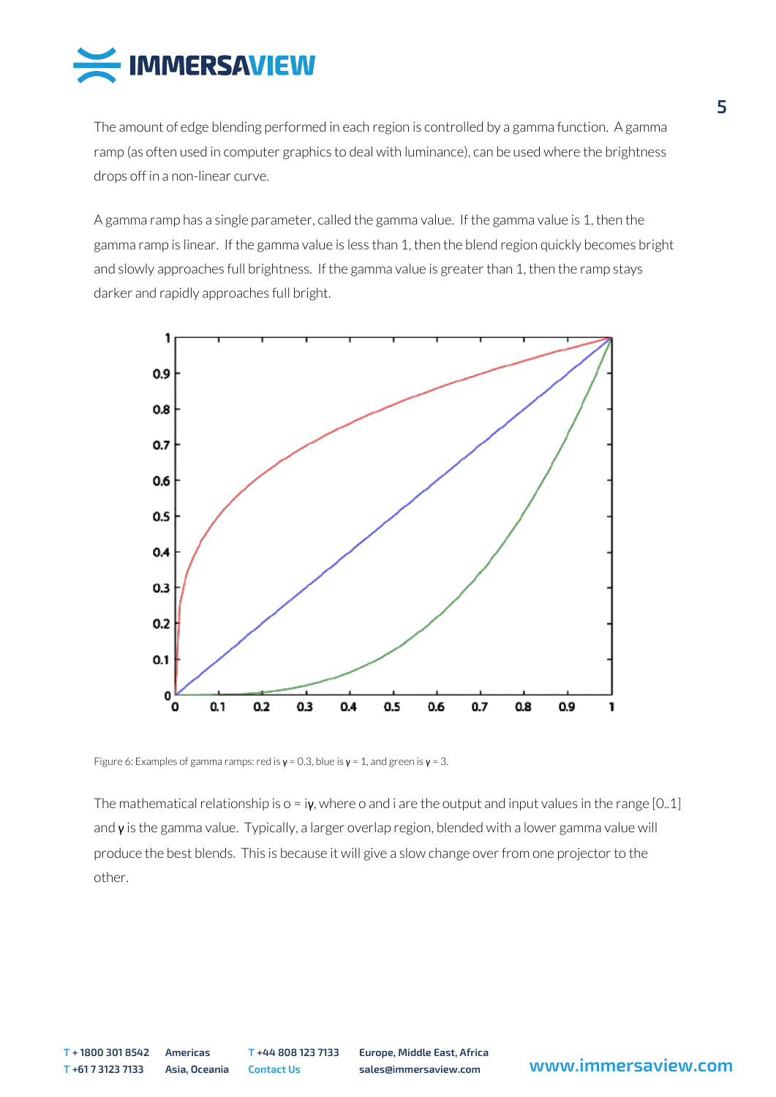

The amount of edge blending performed in each region is controlled by a gamma function. A gamma ramp (as often used in computer graphics to deal with luminance), can be used where the brightness drops off in a non-linear curve.

A gamma ramp has a single parameter, called the gamma value. If the gamma value is 1, then the gamma ramp is linear. If the gamma value is less than 1, then the blend region quickly becomes bright and slowly approaches full brightness. If the gamma value is greater than 1, then the ramp stays darker and rapidly approaches full bright.



Figure 6: Examples of gamma ramps: red is  $\mathbf{v} = 0.3$ , blue is  $\mathbf{v} = 1$ , and green is  $\mathbf{v} = 3$ .

The mathematical relationship is  $o = i\gamma$ , where o and i are the output and input values in the range [0..1] and  $\gamma$  is the gamma value. Typically, a larger overlap region, blended with a lower gamma value will produce the best blends. This is because it will give a slow change over from one projector to the other.